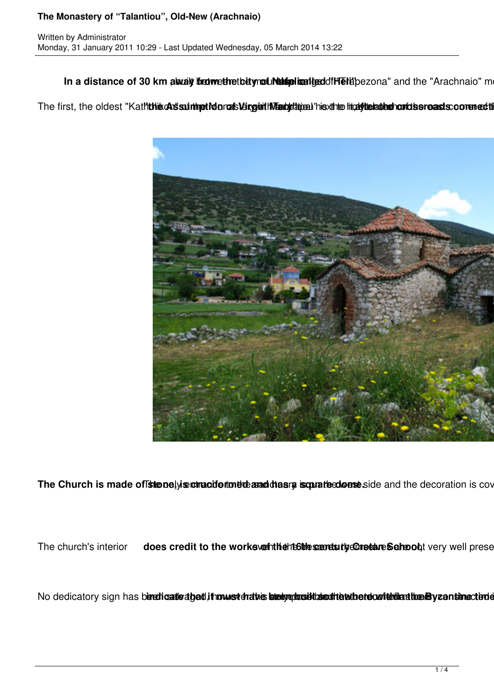In a distance of 30 km away between the tournal resident the diffusion and the "Arachnaio" mountain range of the

The first, the oldest "Kaththia ch sainmet idonals lenguith Teath this the highlichate condisereasts commediti



The Church is made of strenely is correct for the analytical scanaries dense side and the decoration is cover

The church's interior **does credit to the works of the frest are samely Constant School**, very well prese

No dedicatory sign has biendicatle about in must draties bien quositic south to the recorrections the Byzantinection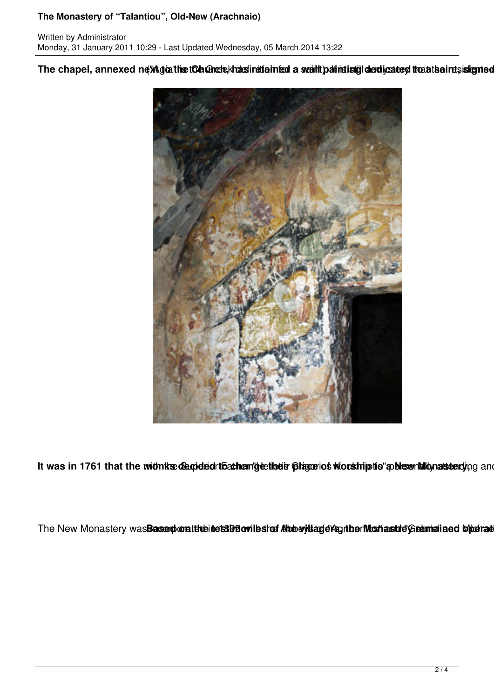## **The Monastery of "Talantiou", Old-New (Arachnaio)**

The chapel, annexed new doathet Calance khasinettamed a wailt pat intistic declicated theat saints is lented



It was in 1761 that the midnikse degided to athen the their plage iot wordship to a blew hillon at the midnight

The New Monastery wasBasserplorattheintets3DBowiteshof Alhobey's and enthus then Mushasstrie' Greeninalined byterrate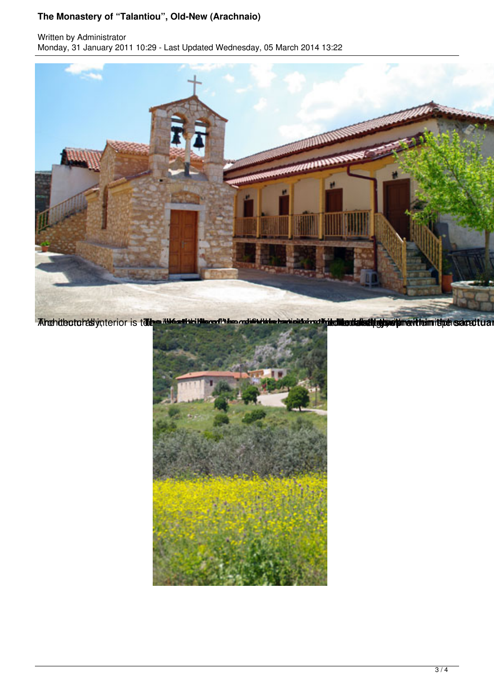## **The Monastery of "Talantiou", Old-New (Arachnaio)**

Written by Administrator Monday, 31 January 2011 10:29 - Last Updated Wednesday, 05 March 2014 13:22



Ahchideotohasiynterior is tabe ikke aliki Klevefrien mai Prikte bericisteret histollanda belingte ein arthum ithde sacrotual